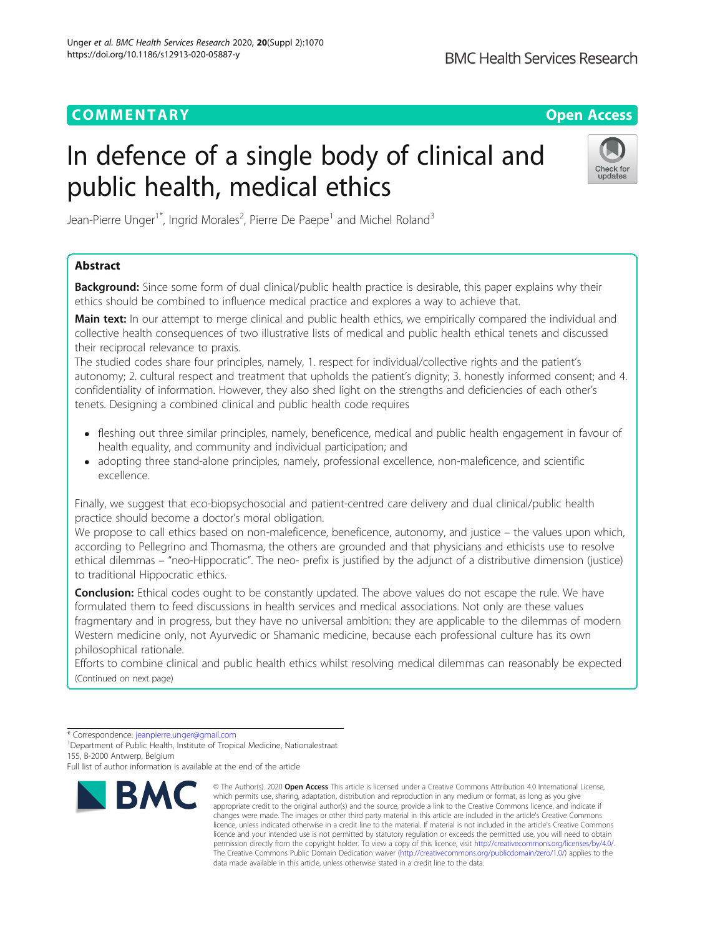## **COMMENTARY COMMENTARY COMMENTARY**

# In defence of a single body of clinical and public health, medical ethics



Jean-Pierre Unger<sup>1\*</sup>, Ingrid Morales<sup>2</sup>, Pierre De Paepe<sup>1</sup> and Michel Roland<sup>3</sup>

## Abstract

**Background:** Since some form of dual clinical/public health practice is desirable, this paper explains why their ethics should be combined to influence medical practice and explores a way to achieve that.

Main text: In our attempt to merge clinical and public health ethics, we empirically compared the individual and collective health consequences of two illustrative lists of medical and public health ethical tenets and discussed their reciprocal relevance to praxis.

The studied codes share four principles, namely, 1. respect for individual/collective rights and the patient's autonomy; 2. cultural respect and treatment that upholds the patient's dignity; 3. honestly informed consent; and 4. confidentiality of information. However, they also shed light on the strengths and deficiencies of each other's tenets. Designing a combined clinical and public health code requires

- fleshing out three similar principles, namely, beneficence, medical and public health engagement in favour of health equality, and community and individual participation; and
- adopting three stand-alone principles, namely, professional excellence, non-maleficence, and scientific excellence.

Finally, we suggest that eco-biopsychosocial and patient-centred care delivery and dual clinical/public health practice should become a doctor's moral obligation.

We propose to call ethics based on non-maleficence, beneficence, autonomy, and justice – the values upon which, according to Pellegrino and Thomasma, the others are grounded and that physicians and ethicists use to resolve ethical dilemmas – "neo-Hippocratic". The neo- prefix is justified by the adjunct of a distributive dimension (justice) to traditional Hippocratic ethics.

**Conclusion:** Ethical codes ought to be constantly updated. The above values do not escape the rule. We have formulated them to feed discussions in health services and medical associations. Not only are these values fragmentary and in progress, but they have no universal ambition: they are applicable to the dilemmas of modern Western medicine only, not Ayurvedic or Shamanic medicine, because each professional culture has its own philosophical rationale.

Efforts to combine clinical and public health ethics whilst resolving medical dilemmas can reasonably be expected (Continued on next page)

Full list of author information is available at the end of the article



<sup>©</sup> The Author(s), 2020 **Open Access** This article is licensed under a Creative Commons Attribution 4.0 International License, which permits use, sharing, adaptation, distribution and reproduction in any medium or format, as long as you give appropriate credit to the original author(s) and the source, provide a link to the Creative Commons licence, and indicate if changes were made. The images or other third party material in this article are included in the article's Creative Commons licence, unless indicated otherwise in a credit line to the material. If material is not included in the article's Creative Commons licence and your intended use is not permitted by statutory regulation or exceeds the permitted use, you will need to obtain permission directly from the copyright holder. To view a copy of this licence, visit [http://creativecommons.org/licenses/by/4.0/.](http://creativecommons.org/licenses/by/4.0/) The Creative Commons Public Domain Dedication waiver [\(http://creativecommons.org/publicdomain/zero/1.0/](http://creativecommons.org/publicdomain/zero/1.0/)) applies to the data made available in this article, unless otherwise stated in a credit line to the data.

<sup>\*</sup> Correspondence: [jeanpierre.unger@gmail.com](mailto:jeanpierre.unger@gmail.com) <sup>1</sup>

<sup>&</sup>lt;sup>1</sup> Department of Public Health, Institute of Tropical Medicine, Nationalestraat 155, B-2000 Antwerp, Belgium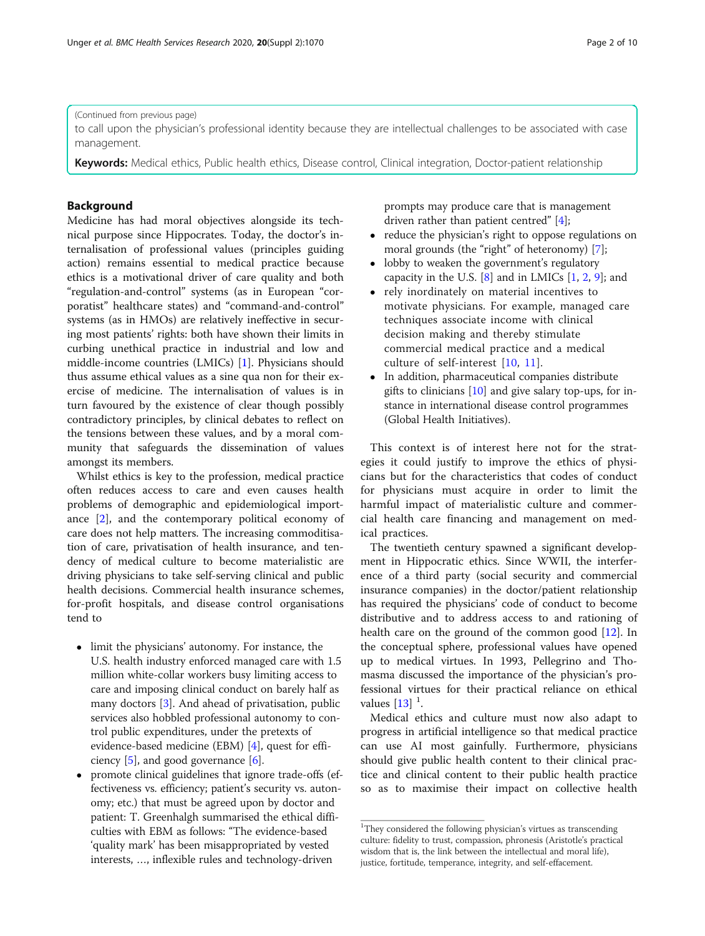#### (Continued from previous page)

to call upon the physician's professional identity because they are intellectual challenges to be associated with case management.

Keywords: Medical ethics, Public health ethics, Disease control, Clinical integration, Doctor-patient relationship

## Background

Medicine has had moral objectives alongside its technical purpose since Hippocrates. Today, the doctor's internalisation of professional values (principles guiding action) remains essential to medical practice because ethics is a motivational driver of care quality and both "regulation-and-control" systems (as in European "corporatist" healthcare states) and "command-and-control" systems (as in HMOs) are relatively ineffective in securing most patients' rights: both have shown their limits in curbing unethical practice in industrial and low and middle-income countries (LMICs) [\[1](#page-8-0)]. Physicians should thus assume ethical values as a sine qua non for their exercise of medicine. The internalisation of values is in turn favoured by the existence of clear though possibly contradictory principles, by clinical debates to reflect on the tensions between these values, and by a moral community that safeguards the dissemination of values amongst its members.

Whilst ethics is key to the profession, medical practice often reduces access to care and even causes health problems of demographic and epidemiological importance [\[2](#page-8-0)], and the contemporary political economy of care does not help matters. The increasing commoditisation of care, privatisation of health insurance, and tendency of medical culture to become materialistic are driving physicians to take self-serving clinical and public health decisions. Commercial health insurance schemes, for-profit hospitals, and disease control organisations tend to

- limit the physicians' autonomy. For instance, the U.S. health industry enforced managed care with 1.5 million white-collar workers busy limiting access to care and imposing clinical conduct on barely half as many doctors [[3\]](#page-8-0). And ahead of privatisation, public services also hobbled professional autonomy to control public expenditures, under the pretexts of evidence-based medicine (EBM) [\[4](#page-8-0)], quest for efficiency  $[5]$ , and good governance  $[6]$  $[6]$ .
- promote clinical guidelines that ignore trade-offs (effectiveness vs. efficiency; patient's security vs. autonomy; etc.) that must be agreed upon by doctor and patient: T. Greenhalgh summarised the ethical difficulties with EBM as follows: "The evidence-based 'quality mark' has been misappropriated by vested interests, …, inflexible rules and technology-driven

prompts may produce care that is management driven rather than patient centred" [[4\]](#page-8-0);

- reduce the physician's right to oppose regulations on moral grounds (the "right" of heteronomy) [\[7\]](#page-8-0);
- lobby to weaken the government's regulatory capacity in the U.S. [\[8\]](#page-8-0) and in LMICs [[1](#page-8-0), [2](#page-8-0), [9](#page-8-0)]; and
- rely inordinately on material incentives to motivate physicians. For example, managed care techniques associate income with clinical decision making and thereby stimulate commercial medical practice and a medical culture of self-interest [[10](#page-8-0), [11](#page-8-0)].
- In addition, pharmaceutical companies distribute gifts to clinicians [[10](#page-8-0)] and give salary top-ups, for instance in international disease control programmes (Global Health Initiatives).

This context is of interest here not for the strategies it could justify to improve the ethics of physicians but for the characteristics that codes of conduct for physicians must acquire in order to limit the harmful impact of materialistic culture and commercial health care financing and management on medical practices.

The twentieth century spawned a significant development in Hippocratic ethics. Since WWII, the interference of a third party (social security and commercial insurance companies) in the doctor/patient relationship has required the physicians' code of conduct to become distributive and to address access to and rationing of health care on the ground of the common good  $[12]$  $[12]$ . In the conceptual sphere, professional values have opened up to medical virtues. In 1993, Pellegrino and Thomasma discussed the importance of the physician's professional virtues for their practical reliance on ethical values  $[13]$  $[13]$ <sup>1</sup>.

Medical ethics and culture must now also adapt to progress in artificial intelligence so that medical practice can use AI most gainfully. Furthermore, physicians should give public health content to their clinical practice and clinical content to their public health practice so as to maximise their impact on collective health

<sup>&</sup>lt;sup>1</sup>They considered the following physician's virtues as transcending culture: fidelity to trust, compassion, phronesis (Aristotle's practical wisdom that is, the link between the intellectual and moral life), justice, fortitude, temperance, integrity, and self-effacement.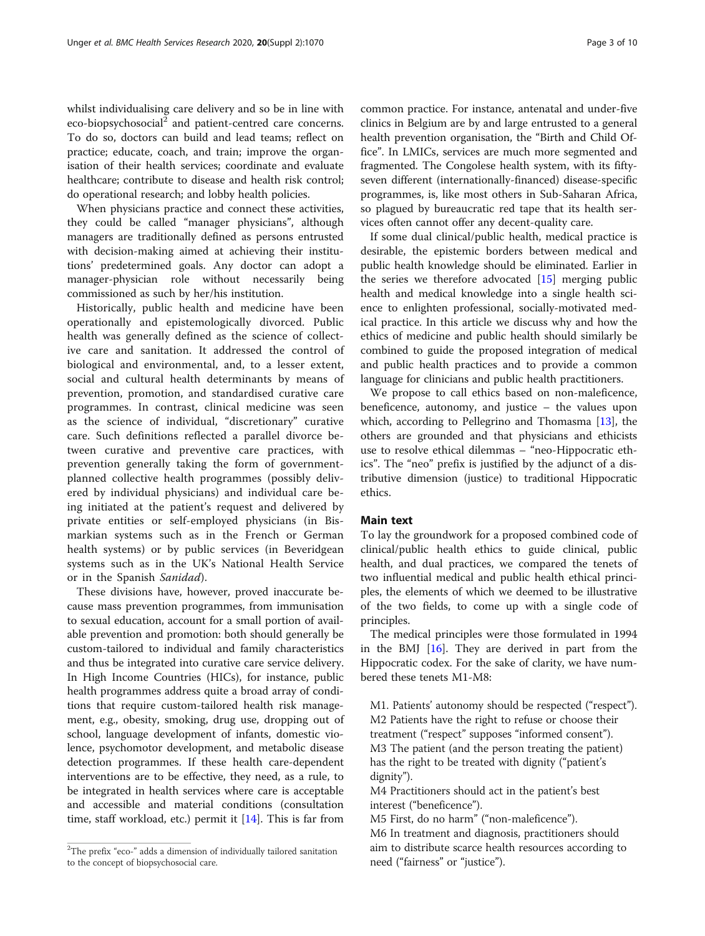whilst individualising care delivery and so be in line with eco-biopsychosocial<sup>2</sup> and patient-centred care concerns. To do so, doctors can build and lead teams; reflect on practice; educate, coach, and train; improve the organisation of their health services; coordinate and evaluate healthcare; contribute to disease and health risk control; do operational research; and lobby health policies.

When physicians practice and connect these activities, they could be called "manager physicians", although managers are traditionally defined as persons entrusted with decision-making aimed at achieving their institutions' predetermined goals. Any doctor can adopt a manager-physician role without necessarily being commissioned as such by her/his institution.

Historically, public health and medicine have been operationally and epistemologically divorced. Public health was generally defined as the science of collective care and sanitation. It addressed the control of biological and environmental, and, to a lesser extent, social and cultural health determinants by means of prevention, promotion, and standardised curative care programmes. In contrast, clinical medicine was seen as the science of individual, "discretionary" curative care. Such definitions reflected a parallel divorce between curative and preventive care practices, with prevention generally taking the form of governmentplanned collective health programmes (possibly delivered by individual physicians) and individual care being initiated at the patient's request and delivered by private entities or self-employed physicians (in Bismarkian systems such as in the French or German health systems) or by public services (in Beveridgean systems such as in the UK's National Health Service or in the Spanish Sanidad).

These divisions have, however, proved inaccurate because mass prevention programmes, from immunisation to sexual education, account for a small portion of available prevention and promotion: both should generally be custom-tailored to individual and family characteristics and thus be integrated into curative care service delivery. In High Income Countries (HICs), for instance, public health programmes address quite a broad array of conditions that require custom-tailored health risk management, e.g., obesity, smoking, drug use, dropping out of school, language development of infants, domestic violence, psychomotor development, and metabolic disease detection programmes. If these health care-dependent interventions are to be effective, they need, as a rule, to be integrated in health services where care is acceptable and accessible and material conditions (consultation time, staff workload, etc.) permit it  $[14]$ . This is far from common practice. For instance, antenatal and under-five clinics in Belgium are by and large entrusted to a general health prevention organisation, the "Birth and Child Office". In LMICs, services are much more segmented and fragmented. The Congolese health system, with its fiftyseven different (internationally-financed) disease-specific programmes, is, like most others in Sub-Saharan Africa, so plagued by bureaucratic red tape that its health services often cannot offer any decent-quality care.

If some dual clinical/public health, medical practice is desirable, the epistemic borders between medical and public health knowledge should be eliminated. Earlier in the series we therefore advocated [[15\]](#page-9-0) merging public health and medical knowledge into a single health science to enlighten professional, socially-motivated medical practice. In this article we discuss why and how the ethics of medicine and public health should similarly be combined to guide the proposed integration of medical and public health practices and to provide a common language for clinicians and public health practitioners.

We propose to call ethics based on non-maleficence, beneficence, autonomy, and justice – the values upon which, according to Pellegrino and Thomasma  $[13]$  $[13]$ , the others are grounded and that physicians and ethicists use to resolve ethical dilemmas – "neo-Hippocratic ethics". The "neo" prefix is justified by the adjunct of a distributive dimension (justice) to traditional Hippocratic ethics.

### Main text

To lay the groundwork for a proposed combined code of clinical/public health ethics to guide clinical, public health, and dual practices, we compared the tenets of two influential medical and public health ethical principles, the elements of which we deemed to be illustrative of the two fields, to come up with a single code of principles.

The medical principles were those formulated in 1994 in the BMJ  $[16]$  $[16]$  $[16]$ . They are derived in part from the Hippocratic codex. For the sake of clarity, we have numbered these tenets M1-M8:

M1. Patients' autonomy should be respected ("respect"). M2 Patients have the right to refuse or choose their treatment ("respect" supposes "informed consent"). M3 The patient (and the person treating the patient) has the right to be treated with dignity ("patient's dignity").

M4 Practitioners should act in the patient's best interest ("beneficence").

M5 First, do no harm" ("non-maleficence"). M6 In treatment and diagnosis, practitioners should aim to distribute scarce health resources according to need ("fairness" or "justice").

 $^{2}$ The prefix "eco-" adds a dimension of individually tailored sanitation to the concept of biopsychosocial care.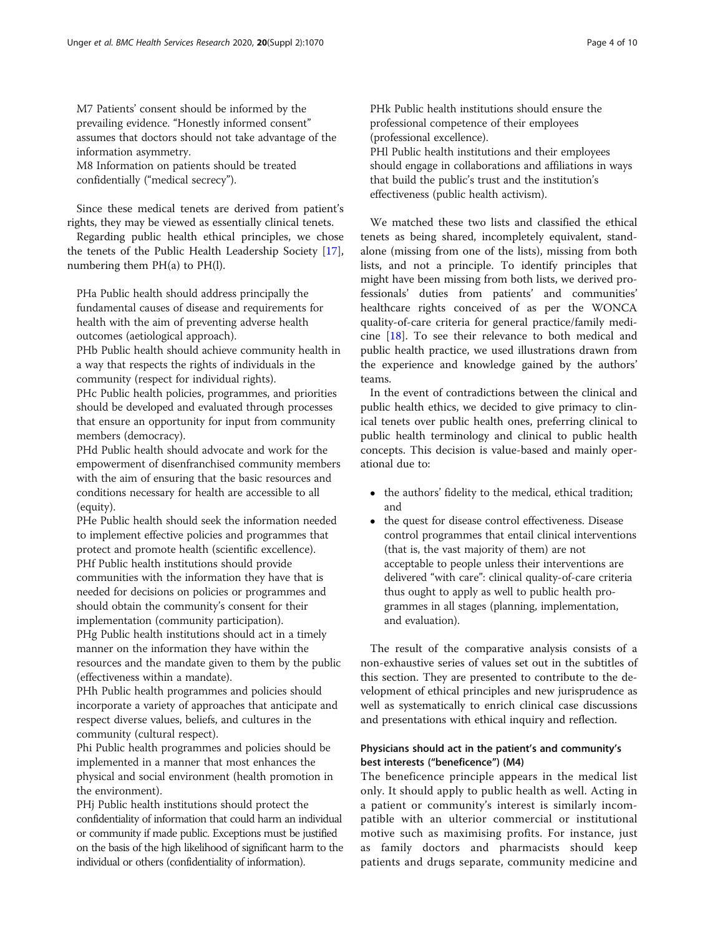M7 Patients' consent should be informed by the prevailing evidence. "Honestly informed consent" assumes that doctors should not take advantage of the information asymmetry.

M8 Information on patients should be treated confidentially ("medical secrecy").

Since these medical tenets are derived from patient's rights, they may be viewed as essentially clinical tenets.

Regarding public health ethical principles, we chose the tenets of the Public Health Leadership Society [\[17](#page-9-0)], numbering them PH(a) to PH(l).

PHa Public health should address principally the fundamental causes of disease and requirements for health with the aim of preventing adverse health outcomes (aetiological approach).

PHb Public health should achieve community health in a way that respects the rights of individuals in the community (respect for individual rights).

PHc Public health policies, programmes, and priorities should be developed and evaluated through processes that ensure an opportunity for input from community members (democracy).

PHd Public health should advocate and work for the empowerment of disenfranchised community members with the aim of ensuring that the basic resources and conditions necessary for health are accessible to all (equity).

PHe Public health should seek the information needed to implement effective policies and programmes that protect and promote health (scientific excellence). PHf Public health institutions should provide communities with the information they have that is needed for decisions on policies or programmes and should obtain the community's consent for their implementation (community participation). PHg Public health institutions should act in a timely manner on the information they have within the resources and the mandate given to them by the public (effectiveness within a mandate).

PHh Public health programmes and policies should incorporate a variety of approaches that anticipate and respect diverse values, beliefs, and cultures in the community (cultural respect).

Phi Public health programmes and policies should be implemented in a manner that most enhances the physical and social environment (health promotion in the environment).

PHj Public health institutions should protect the confidentiality of information that could harm an individual or community if made public. Exceptions must be justified on the basis of the high likelihood of significant harm to the individual or others (confidentiality of information).

PHk Public health institutions should ensure the professional competence of their employees (professional excellence).

PHl Public health institutions and their employees should engage in collaborations and affiliations in ways that build the public's trust and the institution's effectiveness (public health activism).

We matched these two lists and classified the ethical tenets as being shared, incompletely equivalent, standalone (missing from one of the lists), missing from both lists, and not a principle. To identify principles that might have been missing from both lists, we derived professionals' duties from patients' and communities' healthcare rights conceived of as per the WONCA quality-of-care criteria for general practice/family medicine [\[18](#page-9-0)]. To see their relevance to both medical and public health practice, we used illustrations drawn from the experience and knowledge gained by the authors' teams

In the event of contradictions between the clinical and public health ethics, we decided to give primacy to clinical tenets over public health ones, preferring clinical to public health terminology and clinical to public health concepts. This decision is value-based and mainly operational due to:

- the authors' fidelity to the medical, ethical tradition; and
- the quest for disease control effectiveness. Disease control programmes that entail clinical interventions (that is, the vast majority of them) are not acceptable to people unless their interventions are delivered "with care": clinical quality-of-care criteria thus ought to apply as well to public health programmes in all stages (planning, implementation, and evaluation).

The result of the comparative analysis consists of a non-exhaustive series of values set out in the subtitles of this section. They are presented to contribute to the development of ethical principles and new jurisprudence as well as systematically to enrich clinical case discussions and presentations with ethical inquiry and reflection.

## Physicians should act in the patient's and community's best interests ("beneficence") (M4)

The beneficence principle appears in the medical list only. It should apply to public health as well. Acting in a patient or community's interest is similarly incompatible with an ulterior commercial or institutional motive such as maximising profits. For instance, just as family doctors and pharmacists should keep patients and drugs separate, community medicine and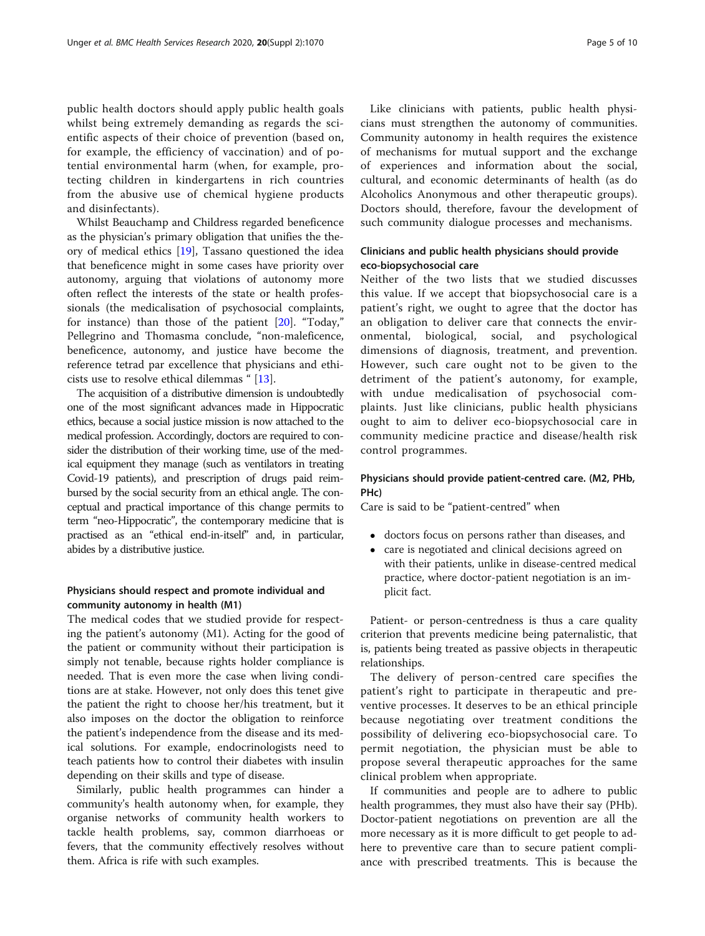public health doctors should apply public health goals whilst being extremely demanding as regards the scientific aspects of their choice of prevention (based on, for example, the efficiency of vaccination) and of potential environmental harm (when, for example, protecting children in kindergartens in rich countries from the abusive use of chemical hygiene products and disinfectants).

Whilst Beauchamp and Childress regarded beneficence as the physician's primary obligation that unifies the theory of medical ethics [\[19\]](#page-9-0), Tassano questioned the idea that beneficence might in some cases have priority over autonomy, arguing that violations of autonomy more often reflect the interests of the state or health professionals (the medicalisation of psychosocial complaints, for instance) than those of the patient [\[20\]](#page-9-0). "Today," Pellegrino and Thomasma conclude, "non-maleficence, beneficence, autonomy, and justice have become the reference tetrad par excellence that physicians and ethicists use to resolve ethical dilemmas " [[13\]](#page-8-0).

The acquisition of a distributive dimension is undoubtedly one of the most significant advances made in Hippocratic ethics, because a social justice mission is now attached to the medical profession. Accordingly, doctors are required to consider the distribution of their working time, use of the medical equipment they manage (such as ventilators in treating Covid-19 patients), and prescription of drugs paid reimbursed by the social security from an ethical angle. The conceptual and practical importance of this change permits to term "neo-Hippocratic", the contemporary medicine that is practised as an "ethical end-in-itself" and, in particular, abides by a distributive justice.

## Physicians should respect and promote individual and community autonomy in health (M1)

The medical codes that we studied provide for respecting the patient's autonomy (M1). Acting for the good of the patient or community without their participation is simply not tenable, because rights holder compliance is needed. That is even more the case when living conditions are at stake. However, not only does this tenet give the patient the right to choose her/his treatment, but it also imposes on the doctor the obligation to reinforce the patient's independence from the disease and its medical solutions. For example, endocrinologists need to teach patients how to control their diabetes with insulin depending on their skills and type of disease.

Similarly, public health programmes can hinder a community's health autonomy when, for example, they organise networks of community health workers to tackle health problems, say, common diarrhoeas or fevers, that the community effectively resolves without them. Africa is rife with such examples.

Like clinicians with patients, public health physicians must strengthen the autonomy of communities. Community autonomy in health requires the existence of mechanisms for mutual support and the exchange of experiences and information about the social, cultural, and economic determinants of health (as do Alcoholics Anonymous and other therapeutic groups). Doctors should, therefore, favour the development of such community dialogue processes and mechanisms.

## Clinicians and public health physicians should provide eco-biopsychosocial care

Neither of the two lists that we studied discusses this value. If we accept that biopsychosocial care is a patient's right, we ought to agree that the doctor has an obligation to deliver care that connects the environmental, biological, social, and psychological dimensions of diagnosis, treatment, and prevention. However, such care ought not to be given to the detriment of the patient's autonomy, for example, with undue medicalisation of psychosocial complaints. Just like clinicians, public health physicians ought to aim to deliver eco-biopsychosocial care in community medicine practice and disease/health risk control programmes.

## Physicians should provide patient-centred care. (M2, PHb, PHc)

Care is said to be "patient-centred" when

- doctors focus on persons rather than diseases, and
- care is negotiated and clinical decisions agreed on with their patients, unlike in disease-centred medical practice, where doctor-patient negotiation is an implicit fact.

Patient- or person-centredness is thus a care quality criterion that prevents medicine being paternalistic, that is, patients being treated as passive objects in therapeutic relationships.

The delivery of person-centred care specifies the patient's right to participate in therapeutic and preventive processes. It deserves to be an ethical principle because negotiating over treatment conditions the possibility of delivering eco-biopsychosocial care. To permit negotiation, the physician must be able to propose several therapeutic approaches for the same clinical problem when appropriate.

If communities and people are to adhere to public health programmes, they must also have their say (PHb). Doctor-patient negotiations on prevention are all the more necessary as it is more difficult to get people to adhere to preventive care than to secure patient compliance with prescribed treatments. This is because the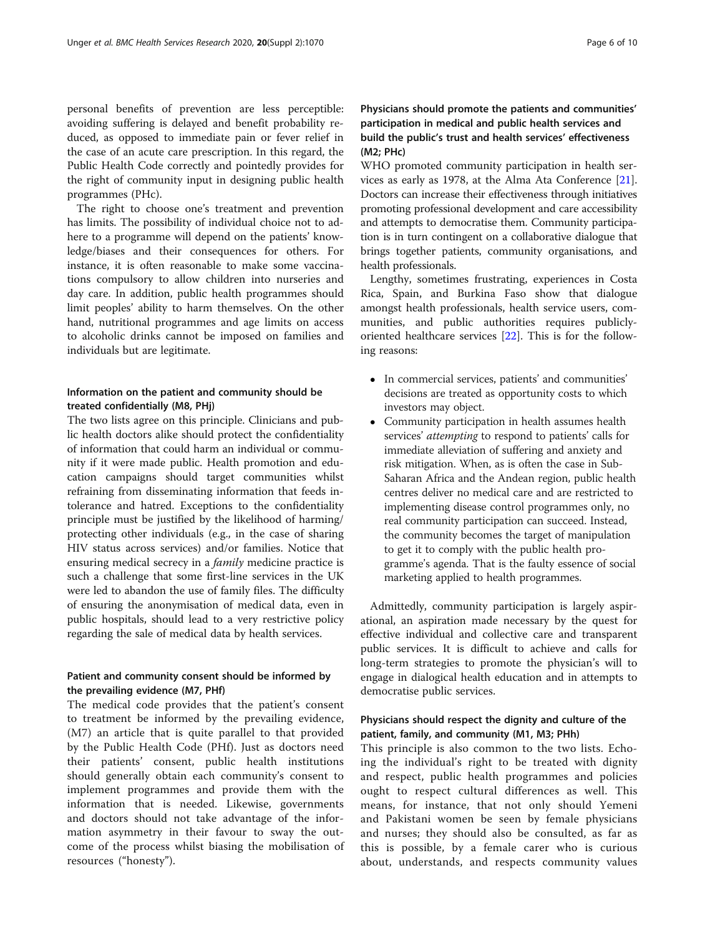personal benefits of prevention are less perceptible: avoiding suffering is delayed and benefit probability reduced, as opposed to immediate pain or fever relief in the case of an acute care prescription. In this regard, the Public Health Code correctly and pointedly provides for the right of community input in designing public health programmes (PHc).

The right to choose one's treatment and prevention has limits. The possibility of individual choice not to adhere to a programme will depend on the patients' knowledge/biases and their consequences for others. For instance, it is often reasonable to make some vaccinations compulsory to allow children into nurseries and day care. In addition, public health programmes should limit peoples' ability to harm themselves. On the other hand, nutritional programmes and age limits on access to alcoholic drinks cannot be imposed on families and individuals but are legitimate.

## Information on the patient and community should be treated confidentially (M8, PHj)

The two lists agree on this principle. Clinicians and public health doctors alike should protect the confidentiality of information that could harm an individual or community if it were made public. Health promotion and education campaigns should target communities whilst refraining from disseminating information that feeds intolerance and hatred. Exceptions to the confidentiality principle must be justified by the likelihood of harming/ protecting other individuals (e.g., in the case of sharing HIV status across services) and/or families. Notice that ensuring medical secrecy in a family medicine practice is such a challenge that some first-line services in the UK were led to abandon the use of family files. The difficulty of ensuring the anonymisation of medical data, even in public hospitals, should lead to a very restrictive policy regarding the sale of medical data by health services.

## Patient and community consent should be informed by the prevailing evidence (M7, PHf)

The medical code provides that the patient's consent to treatment be informed by the prevailing evidence, (M7) an article that is quite parallel to that provided by the Public Health Code (PHf). Just as doctors need their patients' consent, public health institutions should generally obtain each community's consent to implement programmes and provide them with the information that is needed. Likewise, governments and doctors should not take advantage of the information asymmetry in their favour to sway the outcome of the process whilst biasing the mobilisation of resources ("honesty").

WHO promoted community participation in health services as early as 1978, at the Alma Ata Conference [\[21](#page-9-0)]. Doctors can increase their effectiveness through initiatives promoting professional development and care accessibility and attempts to democratise them. Community participation is in turn contingent on a collaborative dialogue that brings together patients, community organisations, and health professionals.

Lengthy, sometimes frustrating, experiences in Costa Rica, Spain, and Burkina Faso show that dialogue amongst health professionals, health service users, communities, and public authorities requires publiclyoriented healthcare services [[22\]](#page-9-0). This is for the following reasons:

- In commercial services, patients' and communities' decisions are treated as opportunity costs to which investors may object.
- Community participation in health assumes health services' attempting to respond to patients' calls for immediate alleviation of suffering and anxiety and risk mitigation. When, as is often the case in Sub-Saharan Africa and the Andean region, public health centres deliver no medical care and are restricted to implementing disease control programmes only, no real community participation can succeed. Instead, the community becomes the target of manipulation to get it to comply with the public health programme's agenda. That is the faulty essence of social marketing applied to health programmes.

Admittedly, community participation is largely aspirational, an aspiration made necessary by the quest for effective individual and collective care and transparent public services. It is difficult to achieve and calls for long-term strategies to promote the physician's will to engage in dialogical health education and in attempts to democratise public services.

## Physicians should respect the dignity and culture of the patient, family, and community (M1, M3; PHh)

This principle is also common to the two lists. Echoing the individual's right to be treated with dignity and respect, public health programmes and policies ought to respect cultural differences as well. This means, for instance, that not only should Yemeni and Pakistani women be seen by female physicians and nurses; they should also be consulted, as far as this is possible, by a female carer who is curious about, understands, and respects community values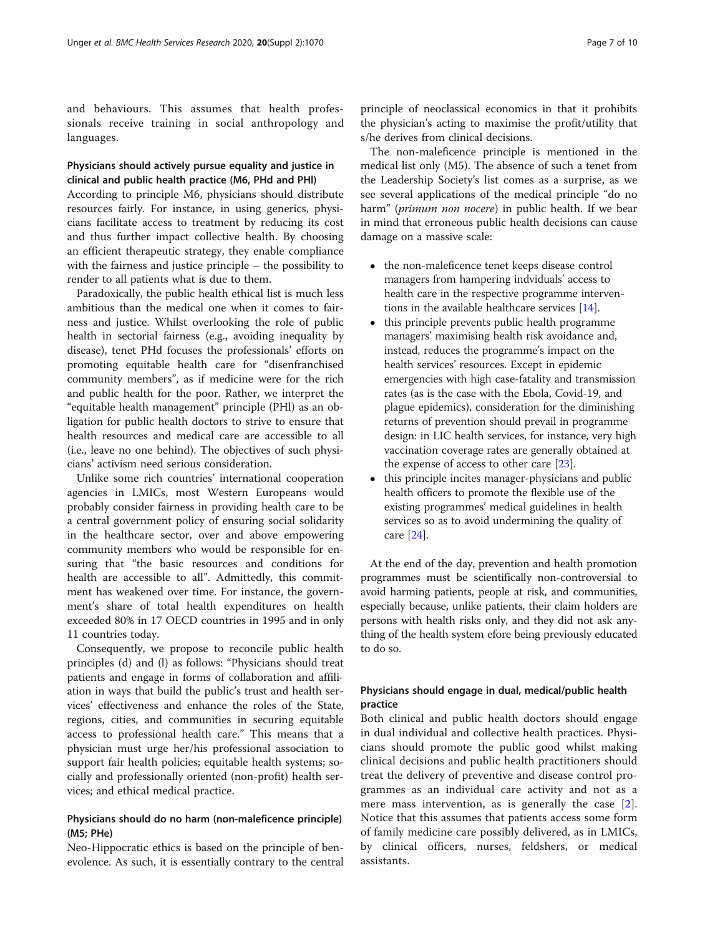and behaviours. This assumes that health professionals receive training in social anthropology and languages.

## Physicians should actively pursue equality and justice in clinical and public health practice (M6, PHd and PHl)

According to principle M6, physicians should distribute resources fairly. For instance, in using generics, physicians facilitate access to treatment by reducing its cost and thus further impact collective health. By choosing an efficient therapeutic strategy, they enable compliance with the fairness and justice principle – the possibility to render to all patients what is due to them.

Paradoxically, the public health ethical list is much less ambitious than the medical one when it comes to fairness and justice. Whilst overlooking the role of public health in sectorial fairness (e.g., avoiding inequality by disease), tenet PHd focuses the professionals' efforts on promoting equitable health care for "disenfranchised community members", as if medicine were for the rich and public health for the poor. Rather, we interpret the "equitable health management" principle (PHl) as an obligation for public health doctors to strive to ensure that health resources and medical care are accessible to all (i.e., leave no one behind). The objectives of such physicians' activism need serious consideration.

Unlike some rich countries' international cooperation agencies in LMICs, most Western Europeans would probably consider fairness in providing health care to be a central government policy of ensuring social solidarity in the healthcare sector, over and above empowering community members who would be responsible for ensuring that "the basic resources and conditions for health are accessible to all". Admittedly, this commitment has weakened over time. For instance, the government's share of total health expenditures on health exceeded 80% in 17 OECD countries in 1995 and in only 11 countries today.

Consequently, we propose to reconcile public health principles (d) and (l) as follows: "Physicians should treat patients and engage in forms of collaboration and affiliation in ways that build the public's trust and health services' effectiveness and enhance the roles of the State, regions, cities, and communities in securing equitable access to professional health care." This means that a physician must urge her/his professional association to support fair health policies; equitable health systems; socially and professionally oriented (non-profit) health services; and ethical medical practice.

## Physicians should do no harm (non-maleficence principle) (M5; PHe)

Neo-Hippocratic ethics is based on the principle of benevolence. As such, it is essentially contrary to the central

principle of neoclassical economics in that it prohibits the physician's acting to maximise the profit/utility that s/he derives from clinical decisions.

The non-maleficence principle is mentioned in the medical list only (M5). The absence of such a tenet from the Leadership Society's list comes as a surprise, as we see several applications of the medical principle "do no harm" (*primum non nocere*) in public health. If we bear in mind that erroneous public health decisions can cause damage on a massive scale:

- the non-maleficence tenet keeps disease control managers from hampering indviduals' access to health care in the respective programme interventions in the available healthcare services [\[14\]](#page-8-0).
- this principle prevents public health programme managers' maximising health risk avoidance and, instead, reduces the programme's impact on the health services' resources. Except in epidemic emergencies with high case-fatality and transmission rates (as is the case with the Ebola, Covid-19, and plague epidemics), consideration for the diminishing returns of prevention should prevail in programme design: in LIC health services, for instance, very high vaccination coverage rates are generally obtained at the expense of access to other care [[23](#page-9-0)].
- this principle incites manager-physicians and public health officers to promote the flexible use of the existing programmes' medical guidelines in health services so as to avoid undermining the quality of care [\[24](#page-9-0)].

At the end of the day, prevention and health promotion programmes must be scientifically non-controversial to avoid harming patients, people at risk, and communities, especially because, unlike patients, their claim holders are persons with health risks only, and they did not ask anything of the health system efore being previously educated to do so.

## Physicians should engage in dual, medical/public health practice

Both clinical and public health doctors should engage in dual individual and collective health practices. Physicians should promote the public good whilst making clinical decisions and public health practitioners should treat the delivery of preventive and disease control programmes as an individual care activity and not as a mere mass intervention, as is generally the case [\[2](#page-8-0)]. Notice that this assumes that patients access some form of family medicine care possibly delivered, as in LMICs, by clinical officers, nurses, feldshers, or medical assistants.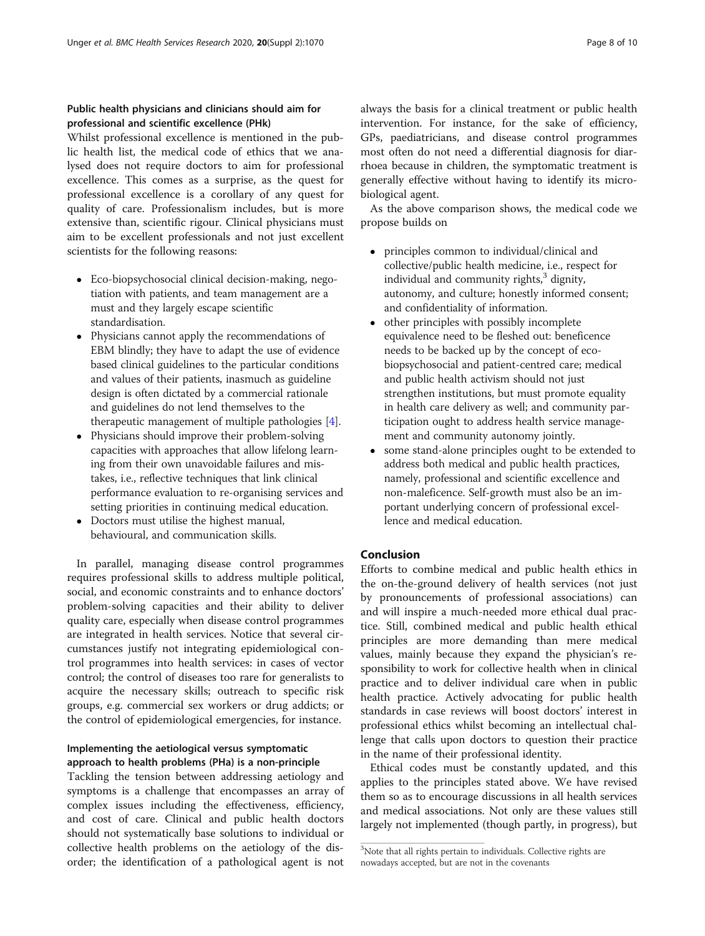## Public health physicians and clinicians should aim for professional and scientific excellence (PHk)

Whilst professional excellence is mentioned in the public health list, the medical code of ethics that we analysed does not require doctors to aim for professional excellence. This comes as a surprise, as the quest for professional excellence is a corollary of any quest for quality of care. Professionalism includes, but is more extensive than, scientific rigour. Clinical physicians must aim to be excellent professionals and not just excellent scientists for the following reasons:

- Eco-biopsychosocial clinical decision-making, negotiation with patients, and team management are a must and they largely escape scientific standardisation.
- Physicians cannot apply the recommendations of EBM blindly; they have to adapt the use of evidence based clinical guidelines to the particular conditions and values of their patients, inasmuch as guideline design is often dictated by a commercial rationale and guidelines do not lend themselves to the therapeutic management of multiple pathologies [\[4\]](#page-8-0).
- Physicians should improve their problem-solving capacities with approaches that allow lifelong learning from their own unavoidable failures and mistakes, i.e., reflective techniques that link clinical performance evaluation to re-organising services and setting priorities in continuing medical education.
- Doctors must utilise the highest manual, behavioural, and communication skills.

In parallel, managing disease control programmes requires professional skills to address multiple political, social, and economic constraints and to enhance doctors' problem-solving capacities and their ability to deliver quality care, especially when disease control programmes are integrated in health services. Notice that several circumstances justify not integrating epidemiological control programmes into health services: in cases of vector control; the control of diseases too rare for generalists to acquire the necessary skills; outreach to specific risk groups, e.g. commercial sex workers or drug addicts; or the control of epidemiological emergencies, for instance.

## Implementing the aetiological versus symptomatic approach to health problems (PHa) is a non-principle

Tackling the tension between addressing aetiology and symptoms is a challenge that encompasses an array of complex issues including the effectiveness, efficiency, and cost of care. Clinical and public health doctors should not systematically base solutions to individual or collective health problems on the aetiology of the disorder; the identification of a pathological agent is not

always the basis for a clinical treatment or public health intervention. For instance, for the sake of efficiency, GPs, paediatricians, and disease control programmes most often do not need a differential diagnosis for diarrhoea because in children, the symptomatic treatment is generally effective without having to identify its micro-

As the above comparison shows, the medical code we propose builds on

- principles common to individual/clinical and collective/public health medicine, i.e., respect for individual and community rights,<sup>3</sup> dignity, autonomy, and culture; honestly informed consent; and confidentiality of information.
- other principles with possibly incomplete equivalence need to be fleshed out: beneficence needs to be backed up by the concept of ecobiopsychosocial and patient-centred care; medical and public health activism should not just strengthen institutions, but must promote equality in health care delivery as well; and community participation ought to address health service management and community autonomy jointly.
- some stand-alone principles ought to be extended to address both medical and public health practices, namely, professional and scientific excellence and non-maleficence. Self-growth must also be an important underlying concern of professional excellence and medical education.

## Conclusion

biological agent.

Efforts to combine medical and public health ethics in the on-the-ground delivery of health services (not just by pronouncements of professional associations) can and will inspire a much-needed more ethical dual practice. Still, combined medical and public health ethical principles are more demanding than mere medical values, mainly because they expand the physician's responsibility to work for collective health when in clinical practice and to deliver individual care when in public health practice. Actively advocating for public health standards in case reviews will boost doctors' interest in professional ethics whilst becoming an intellectual challenge that calls upon doctors to question their practice in the name of their professional identity.

Ethical codes must be constantly updated, and this applies to the principles stated above. We have revised them so as to encourage discussions in all health services and medical associations. Not only are these values still largely not implemented (though partly, in progress), but

<sup>&</sup>lt;sup>3</sup>Note that all rights pertain to individuals. Collective rights are nowadays accepted, but are not in the covenants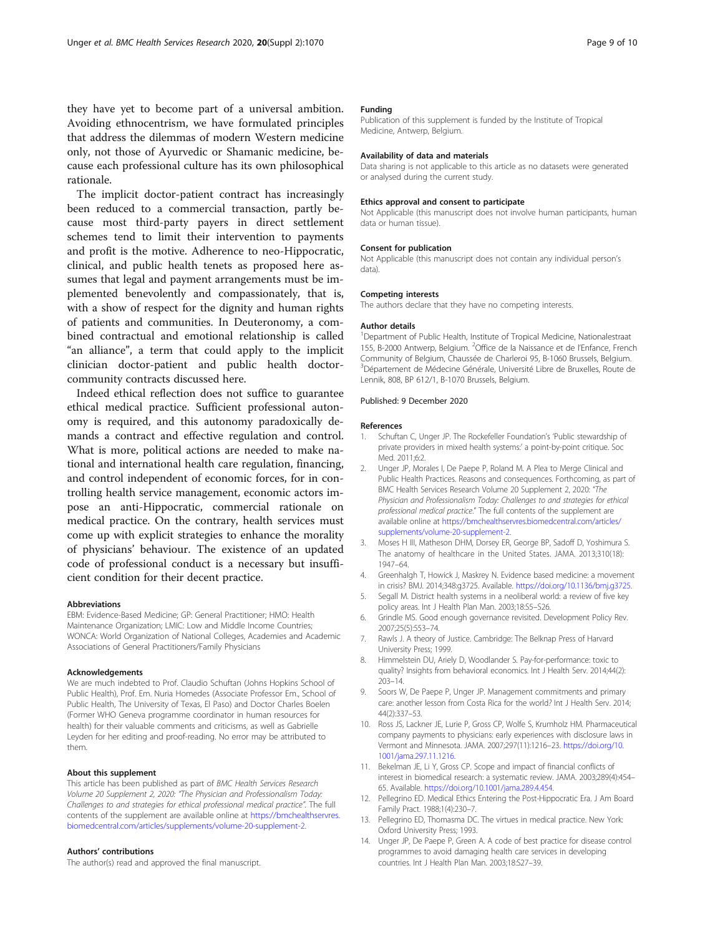<span id="page-8-0"></span>they have yet to become part of a universal ambition. Avoiding ethnocentrism, we have formulated principles that address the dilemmas of modern Western medicine only, not those of Ayurvedic or Shamanic medicine, because each professional culture has its own philosophical rationale.

The implicit doctor-patient contract has increasingly been reduced to a commercial transaction, partly because most third-party payers in direct settlement schemes tend to limit their intervention to payments and profit is the motive. Adherence to neo-Hippocratic, clinical, and public health tenets as proposed here assumes that legal and payment arrangements must be implemented benevolently and compassionately, that is, with a show of respect for the dignity and human rights of patients and communities. In Deuteronomy, a combined contractual and emotional relationship is called "an alliance", a term that could apply to the implicit clinician doctor-patient and public health doctorcommunity contracts discussed here.

Indeed ethical reflection does not suffice to guarantee ethical medical practice. Sufficient professional autonomy is required, and this autonomy paradoxically demands a contract and effective regulation and control. What is more, political actions are needed to make national and international health care regulation, financing, and control independent of economic forces, for in controlling health service management, economic actors impose an anti-Hippocratic, commercial rationale on medical practice. On the contrary, health services must come up with explicit strategies to enhance the morality of physicians' behaviour. The existence of an updated code of professional conduct is a necessary but insufficient condition for their decent practice.

#### **Abbreviations**

EBM: Evidence-Based Medicine; GP: General Practitioner; HMO: Health Maintenance Organization; LMIC: Low and Middle Income Countries; WONCA: World Organization of National Colleges, Academies and Academic Associations of General Practitioners/Family Physicians

#### Acknowledgements

We are much indebted to Prof. Claudio Schuftan (Johns Hopkins School of Public Health), Prof. Em. Nuria Homedes (Associate Professor Em., School of Public Health, The University of Texas, El Paso) and Doctor Charles Boelen (Former WHO Geneva programme coordinator in human resources for health) for their valuable comments and criticisms, as well as Gabrielle Leyden for her editing and proof-reading. No error may be attributed to them.

#### About this supplement

This article has been published as part of BMC Health Services Research Volume 20 Supplement 2, 2020: "The Physician and Professionalism Today: Challenges to and strategies for ethical professional medical practice". The full contents of the supplement are available online at [https://bmchealthservres.](https://bmchealthservres.biomedcentral.com/articles/supplements/volume-20-supplement-2) [biomedcentral.com/articles/supplements/volume-20-supplement-2.](https://bmchealthservres.biomedcentral.com/articles/supplements/volume-20-supplement-2)

#### Authors' contributions

The author(s) read and approved the final manuscript.

#### Funding

Publication of this supplement is funded by the Institute of Tropical Medicine, Antwerp, Belgium.

#### Availability of data and materials

Data sharing is not applicable to this article as no datasets were generated or analysed during the current study.

#### Ethics approval and consent to participate

Not Applicable (this manuscript does not involve human participants, human data or human tissue).

#### Consent for publication

Not Applicable (this manuscript does not contain any individual person's data).

#### Competing interests

The authors declare that they have no competing interests.

#### Author details

<sup>1</sup>Department of Public Health, Institute of Tropical Medicine, Nationalestraat 155, B-2000 Antwerp, Belgium. <sup>2</sup>Office de la Naissance et de l'Enfance, French Community of Belgium, Chaussée de Charleroi 95, B-1060 Brussels, Belgium. <sup>3</sup>Département de Médecine Générale, Université Libre de Bruxelles, Route de Lennik, 808, BP 612/1, B-1070 Brussels, Belgium.

#### Published: 9 December 2020

#### References

- 1. Schuftan C, Unger JP. The Rockefeller Foundation's 'Public stewardship of private providers in mixed health systems:' a point-by-point critique. Soc Med. 2011;6:2.
- 2. Unger JP, Morales I, De Paepe P, Roland M. A Plea to Merge Clinical and Public Health Practices. Reasons and consequences. Forthcoming, as part of BMC Health Services Research Volume 20 Supplement 2, 2020: "The Physician and Professionalism Today: Challenges to and strategies for ethical professional medical practice." The full contents of the supplement are available online at [https://bmchealthservres.biomedcentral.com/articles/](https://bmchealthservres.biomedcentral.com/articles/supplements/volume-20-supplement-2) [supplements/volume-20-supplement-2.](https://bmchealthservres.biomedcentral.com/articles/supplements/volume-20-supplement-2)
- 3. Moses H III, Matheson DHM, Dorsey ER, George BP, Sadoff D, Yoshimura S. The anatomy of healthcare in the United States. JAMA. 2013;310(18): 1947–64.
- 4. Greenhalgh T, Howick J, Maskrey N. Evidence based medicine: a movement in crisis? BMJ. 2014;348:g3725. Available. <https://doi.org/10.1136/bmj.g3725>.
- 5. Segall M. District health systems in a neoliberal world: a review of five key policy areas. Int J Health Plan Man. 2003;18:S5–S26.
- 6. Grindle MS. Good enough governance revisited. Development Policy Rev. 2007;25(5):553–74.
- 7. Rawls J. A theory of Justice. Cambridge: The Belknap Press of Harvard University Press; 1999.
- 8. Himmelstein DU, Ariely D, Woodlander S. Pay-for-performance: toxic to quality? Insights from behavioral economics. Int J Health Serv. 2014;44(2): 203–14.
- Soors W, De Paepe P, Unger JP. Management commitments and primary care: another lesson from Costa Rica for the world? Int J Health Serv. 2014; 44(2):337–53.
- 10. Ross JS, Lackner JE, Lurie P, Gross CP, Wolfe S, Krumholz HM. Pharmaceutical company payments to physicians: early experiences with disclosure laws in Vermont and Minnesota. JAMA. 2007;297(11):1216–23. [https://doi.org/10.](https://doi.org/10.1001/jama.297.11.1216) [1001/jama.297.11.1216.](https://doi.org/10.1001/jama.297.11.1216)
- 11. Bekelman JE, Li Y, Gross CP. Scope and impact of financial conflicts of interest in biomedical research: a systematic review. JAMA. 2003;289(4):454– 65. Available. [https://doi.org/10.1001/jama.289.4.454.](https://doi.org/10.1001/jama.289.4.454)
- 12. Pellegrino ED. Medical Ethics Entering the Post-Hippocratic Era. J Am Board Family Pract. 1988;1(4):230–7.
- 13. Pellegrino ED, Thomasma DC. The virtues in medical practice. New York: Oxford University Press; 1993.
- 14. Unger JP, De Paepe P, Green A. A code of best practice for disease control programmes to avoid damaging health care services in developing countries. Int J Health Plan Man. 2003;18:S27–39.